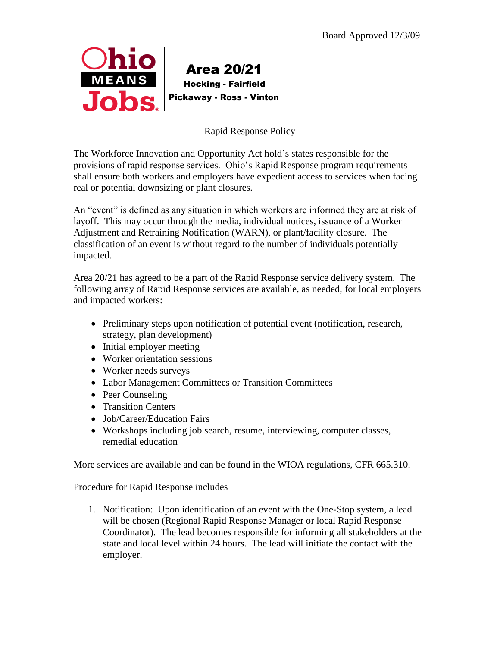

## Area 20/21 Hocking - Fairfield Pickaway - Ross - Vinton

Rapid Response Policy

The Workforce Innovation and Opportunity Act hold's states responsible for the provisions of rapid response services. Ohio's Rapid Response program requirements shall ensure both workers and employers have expedient access to services when facing real or potential downsizing or plant closures.

An "event" is defined as any situation in which workers are informed they are at risk of layoff. This may occur through the media, individual notices, issuance of a Worker Adjustment and Retraining Notification (WARN), or plant/facility closure. The classification of an event is without regard to the number of individuals potentially impacted.

Area 20/21 has agreed to be a part of the Rapid Response service delivery system. The following array of Rapid Response services are available, as needed, for local employers and impacted workers:

- Preliminary steps upon notification of potential event (notification, research, strategy, plan development)
- Initial employer meeting
- Worker orientation sessions
- Worker needs surveys
- Labor Management Committees or Transition Committees
- Peer Counseling
- Transition Centers
- Job/Career/Education Fairs
- Workshops including job search, resume, interviewing, computer classes, remedial education

More services are available and can be found in the WIOA regulations, CFR 665.310.

Procedure for Rapid Response includes

1. Notification: Upon identification of an event with the One-Stop system, a lead will be chosen (Regional Rapid Response Manager or local Rapid Response Coordinator). The lead becomes responsible for informing all stakeholders at the state and local level within 24 hours. The lead will initiate the contact with the employer.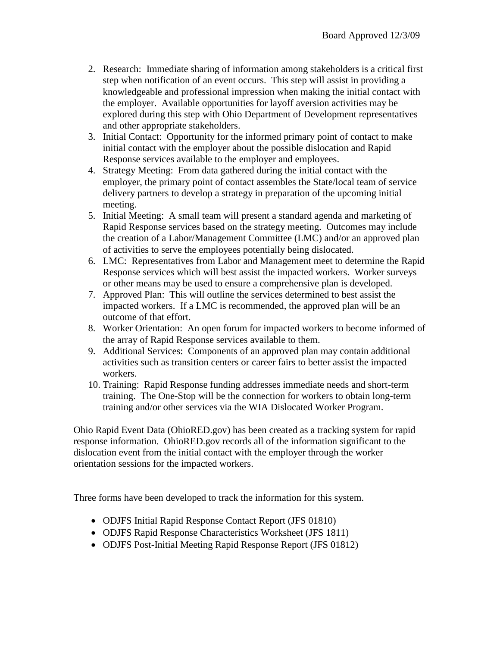- 2. Research: Immediate sharing of information among stakeholders is a critical first step when notification of an event occurs. This step will assist in providing a knowledgeable and professional impression when making the initial contact with the employer. Available opportunities for layoff aversion activities may be explored during this step with Ohio Department of Development representatives and other appropriate stakeholders.
- 3. Initial Contact: Opportunity for the informed primary point of contact to make initial contact with the employer about the possible dislocation and Rapid Response services available to the employer and employees.
- 4. Strategy Meeting: From data gathered during the initial contact with the employer, the primary point of contact assembles the State/local team of service delivery partners to develop a strategy in preparation of the upcoming initial meeting.
- 5. Initial Meeting: A small team will present a standard agenda and marketing of Rapid Response services based on the strategy meeting. Outcomes may include the creation of a Labor/Management Committee (LMC) and/or an approved plan of activities to serve the employees potentially being dislocated.
- 6. LMC: Representatives from Labor and Management meet to determine the Rapid Response services which will best assist the impacted workers. Worker surveys or other means may be used to ensure a comprehensive plan is developed.
- 7. Approved Plan: This will outline the services determined to best assist the impacted workers. If a LMC is recommended, the approved plan will be an outcome of that effort.
- 8. Worker Orientation: An open forum for impacted workers to become informed of the array of Rapid Response services available to them.
- 9. Additional Services: Components of an approved plan may contain additional activities such as transition centers or career fairs to better assist the impacted workers.
- 10. Training: Rapid Response funding addresses immediate needs and short-term training. The One-Stop will be the connection for workers to obtain long-term training and/or other services via the WIA Dislocated Worker Program.

Ohio Rapid Event Data (OhioRED.gov) has been created as a tracking system for rapid response information. OhioRED.gov records all of the information significant to the dislocation event from the initial contact with the employer through the worker orientation sessions for the impacted workers.

Three forms have been developed to track the information for this system.

- ODJFS Initial Rapid Response Contact Report (JFS 01810)
- ODJFS Rapid Response Characteristics Worksheet (JFS 1811)
- ODJFS Post-Initial Meeting Rapid Response Report (JFS 01812)